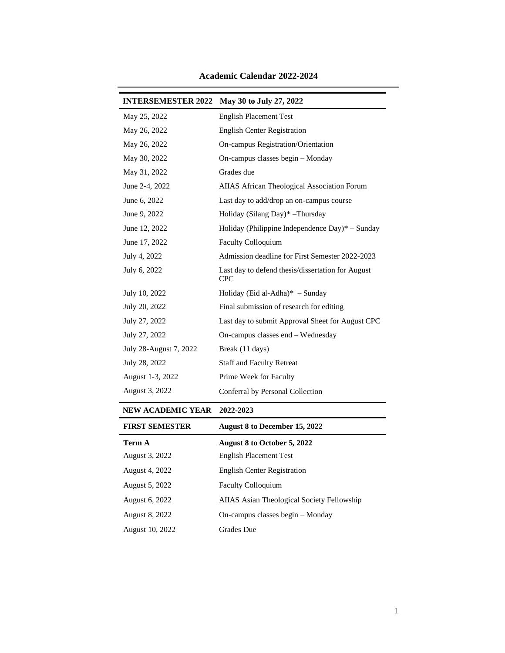| <b>INTERSEMESTER 2022</b> | May 30 to July 27, 2022                                         |
|---------------------------|-----------------------------------------------------------------|
| May 25, 2022              | <b>English Placement Test</b>                                   |
| May 26, 2022              | <b>English Center Registration</b>                              |
| May 26, 2022              | On-campus Registration/Orientation                              |
| May 30, 2022              | On-campus classes begin - Monday                                |
| May 31, 2022              | Grades due                                                      |
| June 2-4, 2022            | AIIAS African Theological Association Forum                     |
| June 6, 2022              | Last day to add/drop an on-campus course                        |
| June 9, 2022              | Holiday (Silang Day)* -Thursday                                 |
| June 12, 2022             | Holiday (Philippine Independence Day)* - Sunday                 |
| June 17, 2022             | <b>Faculty Colloquium</b>                                       |
| July 4, 2022              | Admission deadline for First Semester 2022-2023                 |
| July 6, 2022              | Last day to defend thesis/dissertation for August<br><b>CPC</b> |
| July 10, 2022             | Holiday (Eid al-Adha) $*$ – Sunday                              |
| July 20, 2022             | Final submission of research for editing                        |
| July 27, 2022             | Last day to submit Approval Sheet for August CPC                |
| July 27, 2022             | On-campus classes end - Wednesday                               |
| July 28-August 7, 2022    | Break (11 days)                                                 |
| July 28, 2022             | <b>Staff and Faculty Retreat</b>                                |
| August 1-3, 2022          | Prime Week for Faculty                                          |
| August 3, 2022            | Conferral by Personal Collection                                |

# **Academic Calendar 2022-2024**

#### **NEW ACADEMIC YEAR 2022-2023**

| <b>FIRST SEMESTER</b> | August 8 to December 15, 2022                     |
|-----------------------|---------------------------------------------------|
| Term A                | <b>August 8 to October 5, 2022</b>                |
| August 3, 2022        | <b>English Placement Test</b>                     |
| August 4, 2022        | <b>English Center Registration</b>                |
| August 5, 2022        | <b>Faculty Colloquium</b>                         |
| August 6, 2022        | <b>AIIAS</b> Asian Theological Society Fellowship |
| August 8, 2022        | On-campus classes begin – Monday                  |
| August 10, 2022       | Grades Due                                        |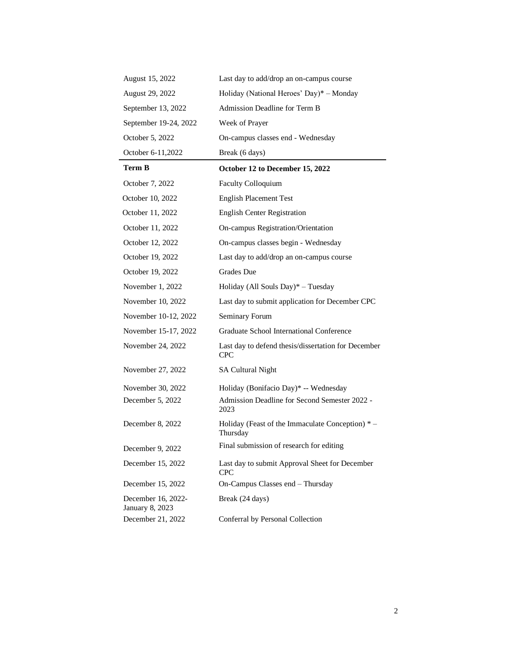| August 15, 2022                       | Last day to add/drop an on-campus course                          |
|---------------------------------------|-------------------------------------------------------------------|
| August 29, 2022                       | Holiday (National Heroes' Day)* - Monday                          |
| September 13, 2022                    | Admission Deadline for Term B                                     |
| September 19-24, 2022                 | Week of Prayer                                                    |
| October 5, 2022                       | On-campus classes end - Wednesday                                 |
| October 6-11,2022                     | Break (6 days)                                                    |
| <b>Term B</b>                         | October 12 to December 15, 2022                                   |
| October 7, 2022                       | Faculty Colloquium                                                |
| October 10, 2022                      | <b>English Placement Test</b>                                     |
| October 11, 2022                      | <b>English Center Registration</b>                                |
| October 11, 2022                      | On-campus Registration/Orientation                                |
| October 12, 2022                      | On-campus classes begin - Wednesday                               |
| October 19, 2022                      | Last day to add/drop an on-campus course                          |
| October 19, 2022                      | <b>Grades</b> Due                                                 |
| November 1, 2022                      | Holiday (All Souls Day) $*$ – Tuesday                             |
| November 10, 2022                     | Last day to submit application for December CPC                   |
| November 10-12, 2022                  | Seminary Forum                                                    |
| November 15-17, 2022                  | Graduate School International Conference                          |
| November 24, 2022                     | Last day to defend thesis/dissertation for December<br><b>CPC</b> |
| November 27, 2022                     | <b>SA Cultural Night</b>                                          |
| November 30, 2022                     | Holiday (Bonifacio Day)* -- Wednesday                             |
| December 5, 2022                      | Admission Deadline for Second Semester 2022 -<br>2023             |
| December 8, 2022                      | Holiday (Feast of the Immaculate Conception) *-<br>Thursday       |
| December 9, 2022                      | Final submission of research for editing                          |
| December 15, 2022                     | Last day to submit Approval Sheet for December<br><b>CPC</b>      |
| December 15, 2022                     | On-Campus Classes end - Thursday                                  |
| December 16, 2022-<br>January 8, 2023 | Break (24 days)                                                   |
| December 21, 2022                     | Conferral by Personal Collection                                  |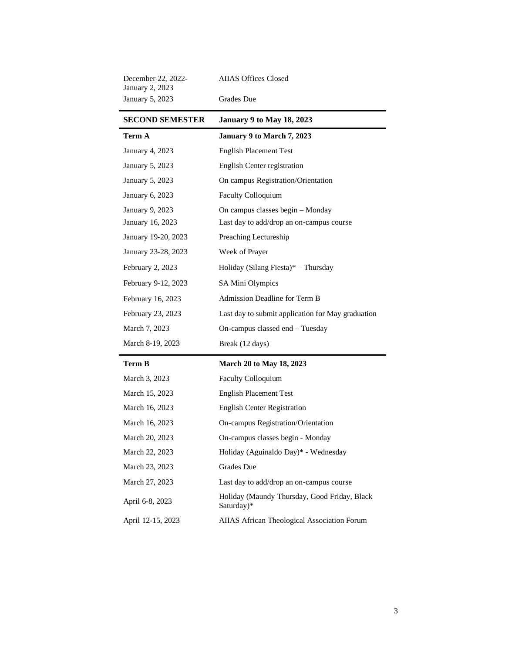| December 22, 2022-<br><b>January 2, 2023</b> | <b>AIIAS Offices Closed</b>                                |
|----------------------------------------------|------------------------------------------------------------|
| <b>January 5, 2023</b>                       | Grades Due                                                 |
| <b>SECOND SEMESTER</b>                       | <b>January 9 to May 18, 2023</b>                           |
| Term A                                       | January 9 to March 7, 2023                                 |
| <b>January 4, 2023</b>                       | <b>English Placement Test</b>                              |
| January 5, 2023                              | <b>English Center registration</b>                         |
| January 5, 2023                              | On campus Registration/Orientation                         |
| January 6, 2023                              | <b>Faculty Colloquium</b>                                  |
| January 9, 2023                              | On campus classes begin – Monday                           |
| January 16, 2023                             | Last day to add/drop an on-campus course                   |
| January 19-20, 2023                          | Preaching Lectureship                                      |
| January 23-28, 2023                          | Week of Prayer                                             |
| February 2, 2023                             | Holiday (Silang Fiesta)* $-$ Thursday                      |
| February 9-12, 2023                          | SA Mini Olympics                                           |
| February 16, 2023                            | Admission Deadline for Term B                              |
| February 23, 2023                            | Last day to submit application for May graduation          |
| March 7, 2023                                | On-campus classed end - Tuesday                            |
| March 8-19, 2023                             | Break (12 days)                                            |
| Term B                                       | <b>March 20 to May 18, 2023</b>                            |
| March 3, 2023                                | <b>Faculty Colloquium</b>                                  |
| March 15, 2023                               | <b>English Placement Test</b>                              |
| March 16, 2023                               | <b>English Center Registration</b>                         |
| March 16, 2023                               | On-campus Registration/Orientation                         |
| March 20, 2023                               | On-campus classes begin - Monday                           |
| March 22, 2023                               | Holiday (Aguinaldo Day)* - Wednesday                       |
| March 23, 2023                               | Grades Due                                                 |
| March 27, 2023                               | Last day to add/drop an on-campus course                   |
| April 6-8, 2023                              | Holiday (Maundy Thursday, Good Friday, Black<br>Saturday)* |
| April 12-15, 2023                            | AIIAS African Theological Association Forum                |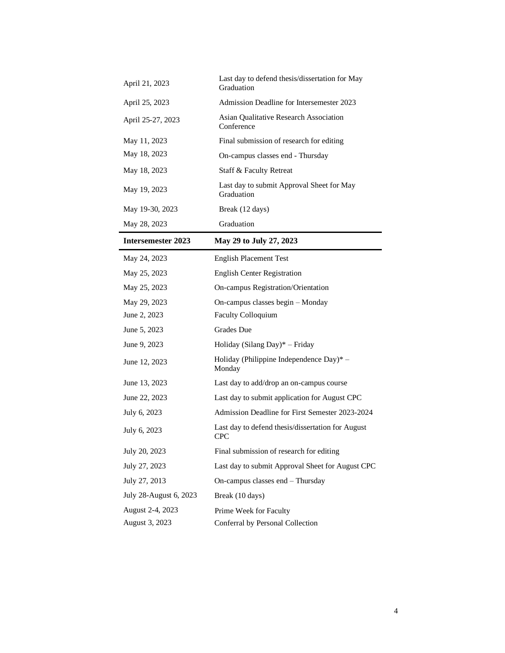| April 21, 2023         | Last day to defend thesis/dissertation for May<br>Graduation    |
|------------------------|-----------------------------------------------------------------|
| April 25, 2023         | Admission Deadline for Intersemester 2023                       |
| April 25-27, 2023      | Asian Qualitative Research Association<br>Conference            |
| May 11, 2023           | Final submission of research for editing                        |
| May 18, 2023           | On-campus classes end - Thursday                                |
| May 18, 2023           | Staff & Faculty Retreat                                         |
| May 19, 2023           | Last day to submit Approval Sheet for May<br>Graduation         |
| May 19-30, 2023        | Break (12 days)                                                 |
| May 28, 2023           | Graduation                                                      |
| Intersemester 2023     | May 29 to July 27, 2023                                         |
| May 24, 2023           | <b>English Placement Test</b>                                   |
| May 25, 2023           | <b>English Center Registration</b>                              |
| May 25, 2023           | On-campus Registration/Orientation                              |
| May 29, 2023           | On-campus classes begin - Monday                                |
| June 2, 2023           | Faculty Colloquium                                              |
| June 5, 2023           | Grades Due                                                      |
| June 9, 2023           | Holiday (Silang Day)* - Friday                                  |
| June 12, 2023          | Holiday (Philippine Independence Day)* $-$<br>Monday            |
| June 13, 2023          | Last day to add/drop an on-campus course                        |
| June 22, 2023          | Last day to submit application for August CPC                   |
| July 6, 2023           | Admission Deadline for First Semester 2023-2024                 |
| July 6, 2023           | Last day to defend thesis/dissertation for August<br><b>CPC</b> |
| July 20, 2023          | Final submission of research for editing                        |
| July 27, 2023          | Last day to submit Approval Sheet for August CPC                |
| July 27, 2013          | On-campus classes end - Thursday                                |
| July 28-August 6, 2023 | Break (10 days)                                                 |
| August 2-4, 2023       | Prime Week for Faculty                                          |
| August 3, 2023         | Conferral by Personal Collection                                |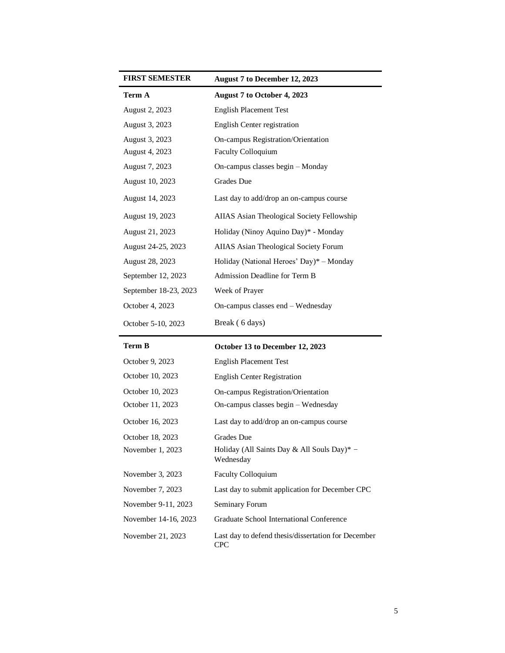| <b>FIRST SEMESTER</b> | August 7 to December 12, 2023                |
|-----------------------|----------------------------------------------|
| Term A                | August 7 to October 4, 2023                  |
| August 2, 2023        | <b>English Placement Test</b>                |
| August 3, 2023        | English Center registration                  |
| August 3, 2023        | On-campus Registration/Orientation           |
| August 4, 2023        | <b>Faculty Colloquium</b>                    |
| August 7, 2023        | On-campus classes begin – Monday             |
| August 10, 2023       | <b>Grades</b> Due                            |
| August 14, 2023       | Last day to add/drop an on-campus course     |
| August 19, 2023       | AIIAS Asian Theological Society Fellowship   |
| August 21, 2023       | Holiday (Ninoy Aquino Day)* - Monday         |
| August 24-25, 2023    | <b>AIIAS</b> Asian Theological Society Forum |
| August 28, 2023       | Holiday (National Heroes' Day)* - Monday     |
| September 12, 2023    | Admission Deadline for Term B                |
| September 18-23, 2023 | Week of Prayer                               |
| October 4, 2023       | On-campus classes end – Wednesday            |
| October 5-10, 2023    | Break (6 days)                               |

| <b>Term B</b>            | October 13 to December 12, 2023 |
|--------------------------|---------------------------------|
| $\Omega$ ctober $0.2023$ | <b>English December Tost</b>    |

| October 9, 2023      | English Placement Test                                     |
|----------------------|------------------------------------------------------------|
| October 10, 2023     | <b>English Center Registration</b>                         |
| October 10, 2023     | On-campus Registration/Orientation                         |
| October 11, 2023     | On-campus classes begin – Wednesday                        |
| October 16, 2023     | Last day to add/drop an on-campus course                   |
| October 18, 2023     | Grades Due                                                 |
| November 1, 2023     | Holiday (All Saints Day & All Souls Day)* $-$<br>Wednesday |
| November 3, 2023     | <b>Faculty Colloquium</b>                                  |
| November 7, 2023     | Last day to submit application for December CPC            |
| November 9-11, 2023  | Seminary Forum                                             |
| November 14-16, 2023 | Graduate School International Conference                   |
| November 21, 2023    | Last day to defend thesis/dissertation for December<br>CPC |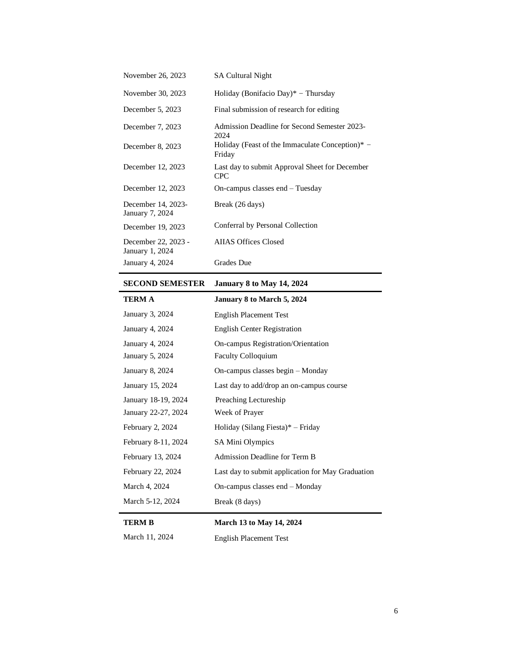| November 26, 2023                      | <b>SA Cultural Night</b>                                     |
|----------------------------------------|--------------------------------------------------------------|
| November 30, 2023                      | Holiday (Bonifacio Day)* – Thursday                          |
| December 5, 2023                       | Final submission of research for editing                     |
| December 7, 2023                       | Admission Deadline for Second Semester 2023-<br>2024         |
| December 8, 2023                       | Holiday (Feast of the Immaculate Conception)* $-$<br>Friday  |
| December 12, 2023                      | Last day to submit Approval Sheet for December<br><b>CPC</b> |
| December 12, 2023                      | $On$ -campus classes end $-$ Tuesday                         |
| December 14, 2023-<br>January 7, 2024  | Break (26 days)                                              |
| December 19, 2023                      | Conferral by Personal Collection                             |
| December 22, 2023 -<br>January 1, 2024 | <b>AIIAS Offices Closed</b>                                  |
| January 4, 2024                        | <b>Grades</b> Due                                            |

## **SECOND SEMESTER January 8 to May 14, 2024**

| TERM A                 | January 8 to March 5, 2024                        |
|------------------------|---------------------------------------------------|
| January 3, 2024        | <b>English Placement Test</b>                     |
| January 4, 2024        | <b>English Center Registration</b>                |
| January 4, 2024        | On-campus Registration/Orientation                |
| <b>January 5, 2024</b> | Faculty Colloquium                                |
| January 8, 2024        | On-campus classes begin – Monday                  |
| January 15, 2024       | Last day to add/drop an on-campus course          |
| January 18-19, 2024    | Preaching Lectureship                             |
| January 22-27, 2024    | Week of Prayer                                    |
| February 2, 2024       | Holiday (Silang Fiesta)* - Friday                 |
| February 8-11, 2024    | SA Mini Olympics                                  |
| February 13, 2024      | Admission Deadline for Term B                     |
| February 22, 2024      | Last day to submit application for May Graduation |
| March 4, 2024          | On-campus classes end $-$ Monday                  |
| March 5-12, 2024       | Break (8 days)                                    |
|                        |                                                   |

## **TERM B March 13 to May 14, 2024**

| March 11, 2024 | <b>English Placement Test</b> |
|----------------|-------------------------------|
|----------------|-------------------------------|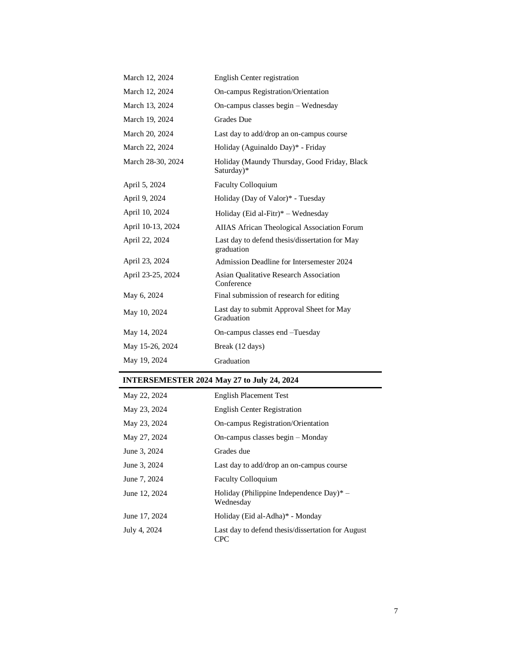| March 12, 2024    | English Center registration                                  |
|-------------------|--------------------------------------------------------------|
| March 12, 2024    | On-campus Registration/Orientation                           |
| March 13, 2024    | On-campus classes begin – Wednesday                          |
| March 19, 2024    | Grades Due                                                   |
| March 20, 2024    | Last day to add/drop an on-campus course                     |
| March 22, 2024    | Holiday (Aguinaldo Day)* - Friday                            |
| March 28-30, 2024 | Holiday (Maundy Thursday, Good Friday, Black<br>Saturday)*   |
| April 5, 2024     | <b>Faculty Colloquium</b>                                    |
| April 9, 2024     | Holiday (Day of Valor)* - Tuesday                            |
| April 10, 2024    | Holiday (Eid al-Fitr) $*$ – Wednesday                        |
| April 10-13, 2024 | AIIAS African Theological Association Forum                  |
| April 22, 2024    | Last day to defend thesis/dissertation for May<br>graduation |
| April 23, 2024    | Admission Deadline for Intersemester 2024                    |
| April 23-25, 2024 | <b>Asian Qualitative Research Association</b><br>Conference  |
| May 6, 2024       | Final submission of research for editing                     |
| May 10, 2024      | Last day to submit Approval Sheet for May<br>Graduation      |
| May 14, 2024      | On-campus classes end -Tuesday                               |
| May 15-26, 2024   | Break (12 days)                                              |
| May 19, 2024      | Graduation                                                   |
|                   |                                                              |

# **INTERSEMESTER 2024 May 27 to July 24, 2024**

| May 22, 2024  | <b>English Placement Test</b>                            |
|---------------|----------------------------------------------------------|
| May 23, 2024  | <b>English Center Registration</b>                       |
| May 23, 2024  | <b>On-campus Registration/Orientation</b>                |
| May 27, 2024  | On-campus classes begin – Monday                         |
| June 3, 2024  | Grades due                                               |
| June 3, 2024  | Last day to add/drop an on-campus course                 |
| June 7, 2024  | <b>Faculty Colloquium</b>                                |
| June 12, 2024 | Holiday (Philippine Independence Day)* $-$<br>Wednesday  |
| June 17, 2024 | Holiday (Eid al-Adha)* - Monday                          |
| July 4, 2024  | Last day to defend thesis/dissertation for August<br>CPC |